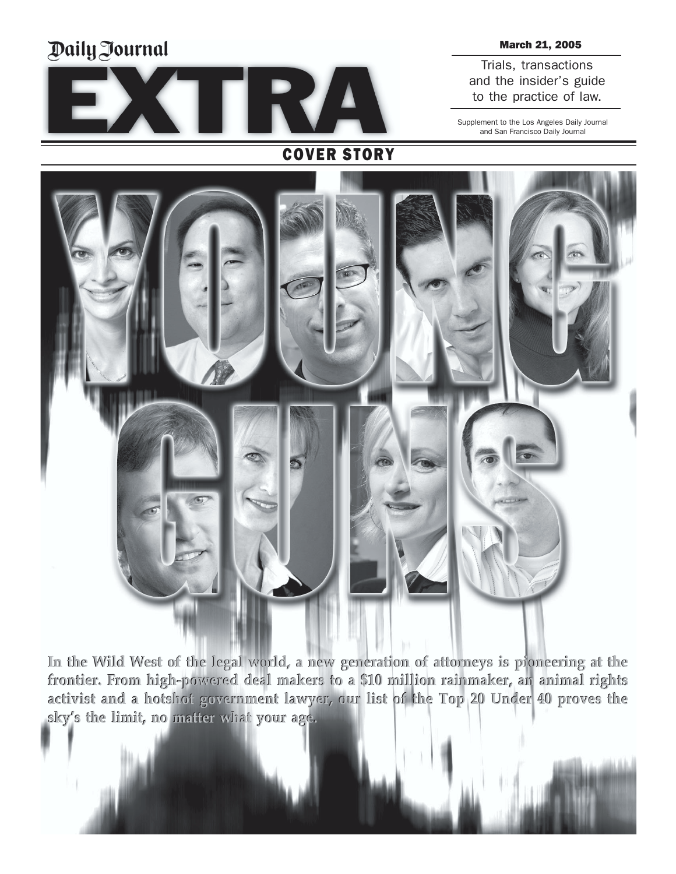# Daily Journal



### March 21, 2005

Trials, transactions and the insider's guide to the practice of law.

Supplement to the Los Angeles Daily Journal and San Francisco Daily Journal



**In the Wild West of the legal world, a new generation of attorneys is pioneering at the In the Wild West of the legal world, a new generation of attorneys is pioneering at the frontier. From high-powered deal makers to a \$10 million rainmaker, an animal rights** frontier. From high-powered deal makers to a \$10 million rainmaker, an animal rights<br>activist and a hotshot government lawyer, our list of the Top 20 Under 40 proves the **skyís the limit, no matter what your age. skyís the limit, no matter what your age.**